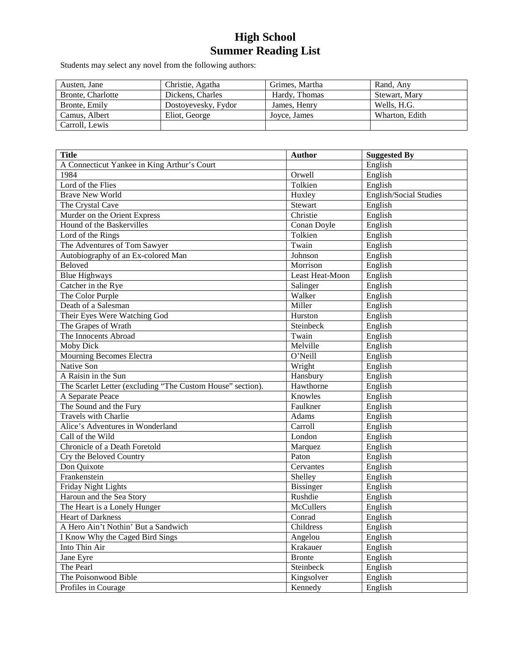Students may select any novel from the following authors:

| Austen, Jane      | Christie, Agatha    | Grimes, Martha | Rand, Any      |
|-------------------|---------------------|----------------|----------------|
| Bronte, Charlotte | Dickens, Charles    | Hardy, Thomas  | Stewart, Mary  |
| Bronte, Emily     | Dostoyevesky, Fydor | James, Henry   | Wells, H.G.    |
| Camus, Albert     | Eliot, George       | Joyce, James   | Wharton, Edith |
| Carroll, Lewis    |                     |                |                |

| <b>Title</b>                                               | <b>Author</b>    | <b>Suggested By</b>           |
|------------------------------------------------------------|------------------|-------------------------------|
| A Connecticut Yankee in King Arthur's Court                |                  | English                       |
| 1984                                                       | Orwell           | English                       |
| Lord of the Flies                                          | Tolkien          | English                       |
| <b>Brave New World</b>                                     | Huxley           | <b>English/Social Studies</b> |
| The Crystal Cave                                           | Stewart          | English                       |
| Murder on the Orient Express                               | Christie         | English                       |
| Hound of the Baskervilles                                  | Conan Doyle      | English                       |
| Lord of the Rings                                          | Tolkien          | English                       |
| The Adventures of Tom Sawyer                               | Twain            | English                       |
| Autobiography of an Ex-colored Man                         | Johnson          | English                       |
| <b>Beloved</b>                                             | Morrison         | English                       |
| <b>Blue Highways</b>                                       | Least Heat-Moon  | English                       |
| Catcher in the Rye                                         | Salinger         | English                       |
| The Color Purple                                           | Walker           | English                       |
| Death of a Salesman                                        | Miller           | English                       |
| Their Eyes Were Watching God                               | Hurston          | English                       |
| The Grapes of Wrath                                        | Steinbeck        | English                       |
| The Innocents Abroad                                       | Twain            | English                       |
| Moby Dick                                                  | Melville         | English                       |
| Mourning Becomes Electra                                   | O'Neill          | English                       |
| Native Son                                                 | Wright           | English                       |
| A Raisin in the Sun                                        | Hansbury         | English                       |
| The Scarlet Letter (excluding "The Custom House" section). | Hawthorne        | English                       |
| A Separate Peace                                           | Knowles          | English                       |
| The Sound and the Fury                                     | Faulkner         | English                       |
| <b>Travels with Charlie</b>                                | Adams            | English                       |
| Alice's Adventures in Wonderland                           | Carroll          | English                       |
| Call of the Wild                                           | London           | English                       |
| Chronicle of a Death Foretold                              | Marquez          | English                       |
| Cry the Beloved Country                                    | Paton            | English                       |
| Don Quixote                                                | Cervantes        | English                       |
| Frankenstein                                               | Shelley          | English                       |
| Friday Night Lights                                        | <b>Bissinger</b> | English                       |
| Haroun and the Sea Story                                   | Rushdie          | English                       |
| The Heart is a Lonely Hunger                               | McCullers        | English                       |
| <b>Heart of Darkness</b>                                   | Conrad           | English                       |
| A Hero Ain't Nothin' But a Sandwich                        | Childress        | English                       |
| I Know Why the Caged Bird Sings                            | Angelou          | English                       |
| Into Thin Air                                              | Krakauer         | English                       |
| Jane Eyre                                                  | <b>Bronte</b>    | English                       |
| The Pearl                                                  | Steinbeck        | English                       |
| The Poisonwood Bible                                       | Kingsolver       | English                       |
| Profiles in Courage                                        | Kennedy          | English                       |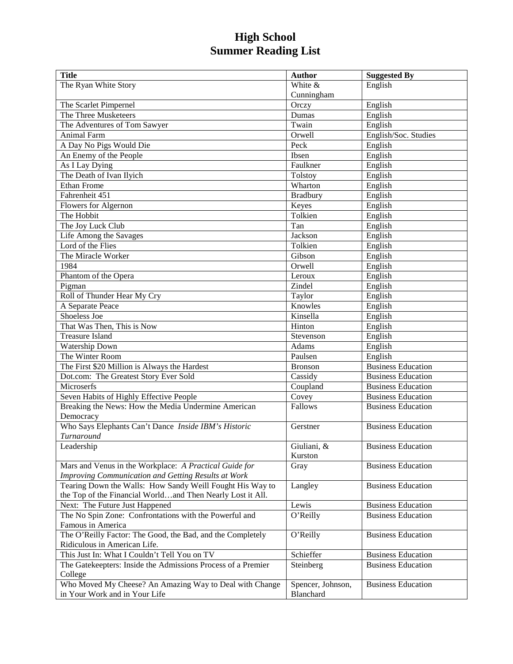| <b>Title</b>                                                 | <b>Author</b>     | <b>Suggested By</b>       |
|--------------------------------------------------------------|-------------------|---------------------------|
| The Ryan White Story                                         | White &           | English                   |
|                                                              | Cunningham        |                           |
| The Scarlet Pimpernel                                        | Orczy             | English                   |
| The Three Musketeers                                         | Dumas             | English                   |
| The Adventures of Tom Sawyer                                 | Twain             | English                   |
| Animal Farm                                                  | Orwell            | English/Soc. Studies      |
| A Day No Pigs Would Die                                      | Peck              | English                   |
| An Enemy of the People                                       | Ibsen             | English                   |
| As I Lay Dying                                               | Faulkner          | English                   |
| The Death of Ivan Ilyich                                     | Tolstoy           | English                   |
| <b>Ethan Frome</b>                                           | Wharton           | English                   |
| Fahrenheit 451                                               | <b>Bradbury</b>   | English                   |
| Flowers for Algernon                                         | Keyes             | English                   |
| The Hobbit                                                   | Tolkien           | English                   |
| The Joy Luck Club                                            | Tan               | English                   |
| Life Among the Savages                                       | Jackson           | English                   |
| Lord of the Flies                                            | Tolkien           | English                   |
| The Miracle Worker                                           | Gibson            | English                   |
| 1984                                                         | Orwell            | English                   |
| Phantom of the Opera                                         | Leroux            | English                   |
| Pigman                                                       | <b>Zindel</b>     | English                   |
| Roll of Thunder Hear My Cry                                  | Taylor            | English                   |
| A Separate Peace                                             | Knowles           | English                   |
| Shoeless Joe                                                 | Kinsella          | English                   |
| That Was Then, This is Now                                   | Hinton            | English                   |
| <b>Treasure Island</b>                                       | Stevenson         | English                   |
| Watership Down                                               | Adams             | English                   |
| The Winter Room                                              | Paulsen           | English                   |
| The First \$20 Million is Always the Hardest                 | <b>Bronson</b>    | <b>Business Education</b> |
| Dot.com: The Greatest Story Ever Sold                        | Cassidy           | <b>Business Education</b> |
| Microserfs                                                   | Coupland          | <b>Business Education</b> |
| Seven Habits of Highly Effective People                      | Covey             | <b>Business Education</b> |
| Breaking the News: How the Media Undermine American          | Fallows           | <b>Business Education</b> |
| Democracy                                                    |                   |                           |
| Who Says Elephants Can't Dance Inside IBM's Historic         | Gerstner          | <b>Business Education</b> |
| Turnaround                                                   |                   |                           |
| Leadership                                                   | Giuliani, &       | <b>Business Education</b> |
|                                                              | Kurston           |                           |
| Mars and Venus in the Workplace: A Practical Guide for       | Gray              | <b>Business Education</b> |
| Improving Communication and Getting Results at Work          |                   |                           |
| Tearing Down the Walls: How Sandy Weill Fought His Way to    | Langley           | <b>Business Education</b> |
| the Top of the Financial Worldand Then Nearly Lost it All.   |                   |                           |
| Next: The Future Just Happened                               | Lewis             | <b>Business Education</b> |
| The No Spin Zone: Confrontations with the Powerful and       | O'Reilly          | <b>Business Education</b> |
| Famous in America                                            |                   |                           |
| The O'Reilly Factor: The Good, the Bad, and the Completely   | O'Reilly          | <b>Business Education</b> |
| Ridiculous in American Life.                                 |                   |                           |
| This Just In: What I Couldn't Tell You on TV                 | Schieffer         | <b>Business Education</b> |
| The Gatekeepters: Inside the Admissions Process of a Premier | Steinberg         | <b>Business Education</b> |
| College                                                      |                   |                           |
| Who Moved My Cheese? An Amazing Way to Deal with Change      | Spencer, Johnson, | <b>Business Education</b> |
| in Your Work and in Your Life                                | Blanchard         |                           |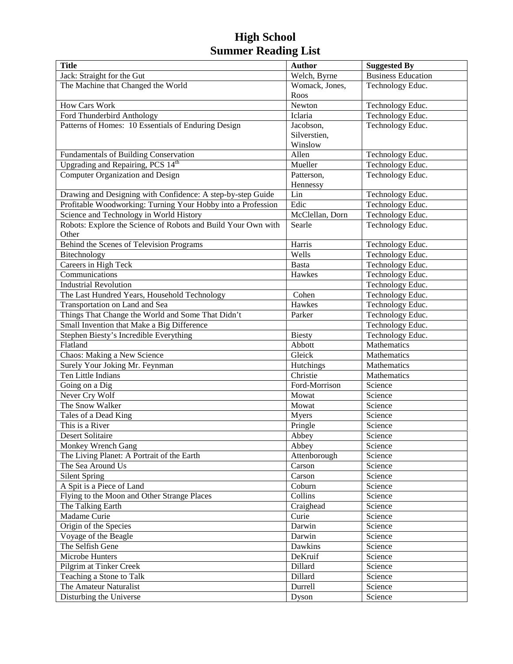| <b>Title</b>                                                  | <b>Author</b>              | <b>Suggested By</b>       |
|---------------------------------------------------------------|----------------------------|---------------------------|
| Jack: Straight for the Gut                                    | Welch, Byrne               | <b>Business Education</b> |
| The Machine that Changed the World                            | Womack, Jones,             | Technology Educ.          |
|                                                               | Roos                       |                           |
| How Cars Work                                                 | Newton                     | Technology Educ.          |
| Ford Thunderbird Anthology                                    | Iclaria                    | Technology Educ.          |
| Patterns of Homes: 10 Essentials of Enduring Design           | Jacobson,                  | Technology Educ.          |
|                                                               | Silverstien,               |                           |
|                                                               | Winslow                    |                           |
| Fundamentals of Building Conservation                         | Allen                      | Technology Educ.          |
| Upgrading and Repairing, PCS 14 <sup>th</sup>                 | Mueller                    | Technology Educ.          |
| Computer Organization and Design                              | Patterson,                 | Technology Educ.          |
|                                                               | Hennessy                   |                           |
| Drawing and Designing with Confidence: A step-by-step Guide   | Lin                        | Technology Educ.          |
| Profitable Woodworking: Turning Your Hobby into a Profession  | Edic                       | Technology Educ.          |
| Science and Technology in World History                       | McClellan, Dorn            | Technology Educ.          |
| Robots: Explore the Science of Robots and Build Your Own with | Searle                     | Technology Educ.          |
| Other                                                         |                            |                           |
| Behind the Scenes of Television Programs                      | Harris                     | Technology Educ.          |
| Bitechnology                                                  | Wells                      | Technology Educ.          |
| Careers in High Teck                                          | <b>Basta</b>               | Technology Educ.          |
| Communications                                                | Hawkes                     | Technology Educ.          |
| <b>Industrial Revolution</b>                                  |                            | Technology Educ.          |
| The Last Hundred Years, Household Technology                  | $\overline{\text{C}}$ ohen | Technology Educ.          |
| Transportation on Land and Sea                                | Hawkes                     | Technology Educ.          |
| Things That Change the World and Some That Didn't             | Parker                     | Technology Educ.          |
| Small Invention that Make a Big Difference                    |                            | Technology Educ.          |
| Stephen Biesty's Incredible Everything                        | <b>Biesty</b>              | Technology Educ.          |
| Flatland                                                      | Abbott                     | Mathematics               |
| Chaos: Making a New Science                                   | Gleick                     | Mathematics               |
| Surely Your Joking Mr. Feynman                                | Hutchings                  | Mathematics               |
| Ten Little Indians                                            | Christie                   | Mathematics               |
| Going on a Dig                                                | Ford-Morrison              | Science                   |
| Never Cry Wolf                                                | Mowat                      | Science                   |
| The Snow Walker                                               | Mowat                      | Science                   |
| Tales of a Dead King                                          | Myers                      | Science                   |
| This is a River                                               | Pringle                    | Science                   |
| Desert Solitaire                                              | Abbey                      | Science                   |
| Monkey Wrench Gang                                            | Abbey                      | Science                   |
| The Living Planet: A Portrait of the Earth                    | Attenborough               | Science                   |
| The Sea Around Us                                             | Carson                     | Science                   |
| <b>Silent Spring</b>                                          | Carson                     | Science                   |
| A Spit is a Piece of Land                                     | Coburn                     | Science                   |
| Flying to the Moon and Other Strange Places                   | Collins                    | Science                   |
| The Talking Earth                                             | Craighead                  | Science                   |
| Madame Curie                                                  | Curie                      | Science                   |
| Origin of the Species                                         | Darwin                     | Science                   |
| Voyage of the Beagle                                          | Darwin                     | Science                   |
| The Selfish Gene                                              | Dawkins                    | Science                   |
| Microbe Hunters                                               | DeKruif                    | Science                   |
| Pilgrim at Tinker Creek                                       | Dillard                    | Science                   |
| Teaching a Stone to Talk                                      | Dillard                    | Science                   |
| The Amateur Naturalist                                        | Durrell                    | Science                   |
| Disturbing the Universe                                       | Dyson                      | Science                   |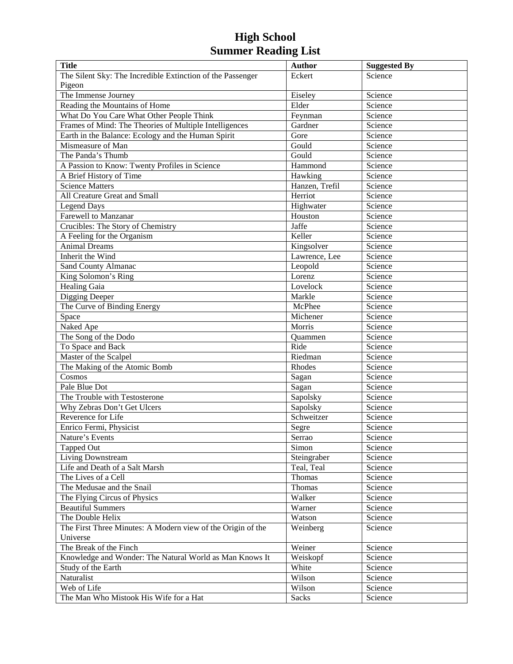| <b>Title</b>                                                | <b>Author</b>  | <b>Suggested By</b> |
|-------------------------------------------------------------|----------------|---------------------|
| The Silent Sky: The Incredible Extinction of the Passenger  | Eckert         | Science             |
| Pigeon                                                      |                |                     |
| The Immense Journey                                         | Eiseley        | Science             |
| Reading the Mountains of Home                               | Elder          | Science             |
| What Do You Care What Other People Think                    | Feynman        | Science             |
| Frames of Mind: The Theories of Multiple Intelligences      | Gardner        | Science             |
| Earth in the Balance: Ecology and the Human Spirit          | Gore           | Science             |
| Mismeasure of Man                                           | Gould          | Science             |
| The Panda's Thumb                                           | Gould          | Science             |
| A Passion to Know: Twenty Profiles in Science               | Hammond        | Science             |
| A Brief History of Time                                     | Hawking        | Science             |
| <b>Science Matters</b>                                      | Hanzen, Trefil | Science             |
| All Creature Great and Small                                | Herriot        | Science             |
| <b>Legend Days</b>                                          | Highwater      | Science             |
| Farewell to Manzanar                                        | Houston        | Science             |
| Crucibles: The Story of Chemistry                           | Jaffe          | Science             |
| A Feeling for the Organism                                  | Keller         | Science             |
| <b>Animal Dreams</b>                                        | Kingsolver     | Science             |
| Inherit the Wind                                            | Lawrence, Lee  | Science             |
| Sand County Almanac                                         | Leopold        | Science             |
| King Solomon's Ring                                         | Lorenz         | Science             |
| Healing Gaia                                                | Lovelock       | Science             |
| Digging Deeper                                              | Markle         | Science             |
| The Curve of Binding Energy                                 | McPhee         | Science             |
| Space                                                       | Michener       | Science             |
| Naked Ape                                                   | Morris         | Science             |
| The Song of the Dodo                                        | Quammen        | Science             |
| To Space and Back                                           | Ride           | Science             |
| Master of the Scalpel                                       | Riedman        | Science             |
| The Making of the Atomic Bomb                               | Rhodes         | Science             |
| Cosmos                                                      | Sagan          | Science             |
| Pale Blue Dot                                               | Sagan          | Science             |
| The Trouble with Testosterone                               | Sapolsky       | Science             |
| Why Zebras Don't Get Ulcers                                 | Sapolsky       | Science             |
| Reverence for Life                                          | Schweitzer     | Science             |
| Enrico Fermi, Physicist                                     | Segre          | Science             |
| Nature's Events                                             | Serrao         | Science             |
| Tapped Out                                                  | Simon          | Science             |
| Living Downstream                                           | Steingraber    | Science             |
| Life and Death of a Salt Marsh                              | Teal, Teal     | Science             |
| The Lives of a Cell                                         | Thomas         | Science             |
| The Medusae and the Snail                                   | Thomas         | Science             |
| The Flying Circus of Physics                                | Walker         | Science             |
| <b>Beautiful Summers</b>                                    | Warner         | Science             |
| The Double Helix                                            | Watson         | Science             |
| The First Three Minutes: A Modern view of the Origin of the | Weinberg       | Science             |
| Universe                                                    |                |                     |
| The Break of the Finch                                      | Weiner         | Science             |
| Knowledge and Wonder: The Natural World as Man Knows It     | Weiskopf       | Science             |
| Study of the Earth                                          | White          | Science             |
| Naturalist                                                  | Wilson         | Science             |
| Web of Life                                                 | Wilson         | Science             |
| The Man Who Mistook His Wife for a Hat                      | Sacks          | Science             |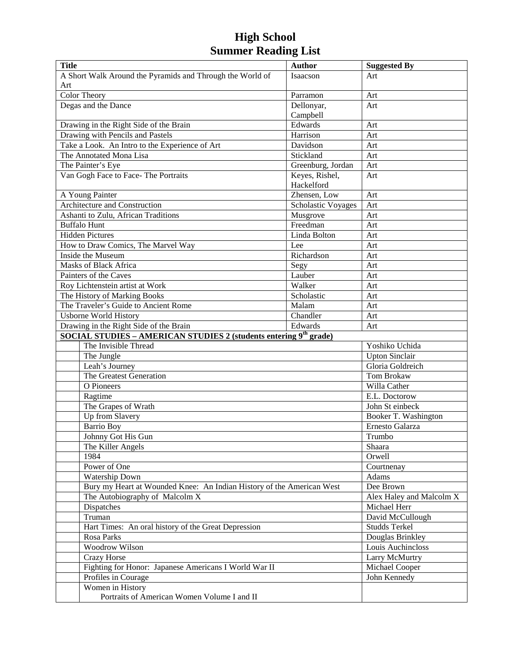| <b>Title</b>                                                                  | <b>Author</b>             | <b>Suggested By</b>                 |
|-------------------------------------------------------------------------------|---------------------------|-------------------------------------|
| A Short Walk Around the Pyramids and Through the World of                     | Isaacson                  | Art                                 |
| Art                                                                           |                           |                                     |
| Color Theory                                                                  | Parramon                  | Art                                 |
| Degas and the Dance                                                           | Dellonyar,                | Art                                 |
|                                                                               | Campbell                  |                                     |
| Drawing in the Right Side of the Brain                                        | Edwards                   | Art                                 |
| Drawing with Pencils and Pastels                                              | Harrison                  | Art                                 |
| Take a Look. An Intro to the Experience of Art                                | Davidson                  | Art                                 |
| The Annotated Mona Lisa                                                       | Stickland                 | Art                                 |
| The Painter's Eye                                                             | Greenburg, Jordan         | Art                                 |
| Van Gogh Face to Face-The Portraits                                           | Keyes, Rishel,            | Art                                 |
|                                                                               | Hackelford                |                                     |
| A Young Painter                                                               | Zhensen, Low              | Art                                 |
| Architecture and Construction                                                 | <b>Scholastic Voyages</b> | Art                                 |
| Ashanti to Zulu, African Traditions                                           | Musgrove                  | Art                                 |
| <b>Buffalo Hunt</b>                                                           | Freedman                  | Art                                 |
| <b>Hidden Pictures</b>                                                        | Linda Bolton              | Art                                 |
| How to Draw Comics, The Marvel Way                                            | Lee                       | Art                                 |
| Inside the Museum                                                             | Richardson                | Art                                 |
| <b>Masks of Black Africa</b>                                                  | Segy                      | Art                                 |
| Painters of the Caves                                                         | Lauber                    | Art                                 |
| Roy Lichtenstein artist at Work                                               | Walker                    | Art                                 |
| The History of Marking Books                                                  | Scholastic                | Art                                 |
| The Traveler's Guide to Ancient Rome                                          | Malam                     | Art                                 |
| Chandler<br><b>Usborne World History</b>                                      |                           | Art                                 |
| Drawing in the Right Side of the Brain                                        | Edwards                   | Art                                 |
| SOCIAL STUDIES - AMERICAN STUDIES 2 (students entering 9 <sup>th</sup> grade) |                           |                                     |
| The Invisible Thread                                                          |                           | Yoshiko Uchida                      |
| The Jungle                                                                    |                           | <b>Upton Sinclair</b>               |
| Leah's Journey                                                                |                           | Gloria Goldreich                    |
| The Greatest Generation                                                       |                           | Tom Brokaw                          |
| O Pioneers                                                                    |                           | Willa Cather                        |
| Ragtime                                                                       |                           | E.L. Doctorow                       |
| The Grapes of Wrath                                                           |                           | John St einbeck                     |
| Up from Slavery                                                               |                           | Booker T. Washington                |
| Barrio Boy                                                                    |                           | Ernesto Galarza                     |
| Johnny Got His Gun                                                            |                           | Trumbo                              |
| The Killer Angels                                                             |                           | Shaara                              |
| 1984                                                                          |                           | Orwell                              |
| Power of One                                                                  |                           | Courtnenay                          |
| Watership Down                                                                |                           | Adams                               |
| Bury my Heart at Wounded Knee: An Indian History of the American West         |                           | Dee Brown                           |
| The Autobiography of Malcolm X                                                |                           | Alex Haley and Malcolm X            |
| Dispatches                                                                    |                           | Michael Herr                        |
| Truman                                                                        |                           | David McCullough                    |
| Hart Times: An oral history of the Great Depression                           |                           | <b>Studds Terkel</b>                |
|                                                                               |                           | Douglas Brinkley                    |
| Woodrow Wilson                                                                | Rosa Parks                |                                     |
| <b>Crazy Horse</b>                                                            |                           | Louis Auchincloss<br>Larry McMurtry |
| Fighting for Honor: Japanese Americans I World War II                         |                           | Michael Cooper                      |
| Profiles in Courage                                                           |                           | John Kennedy                        |
| Women in History                                                              |                           |                                     |
| Portraits of American Women Volume I and II                                   |                           |                                     |
|                                                                               |                           |                                     |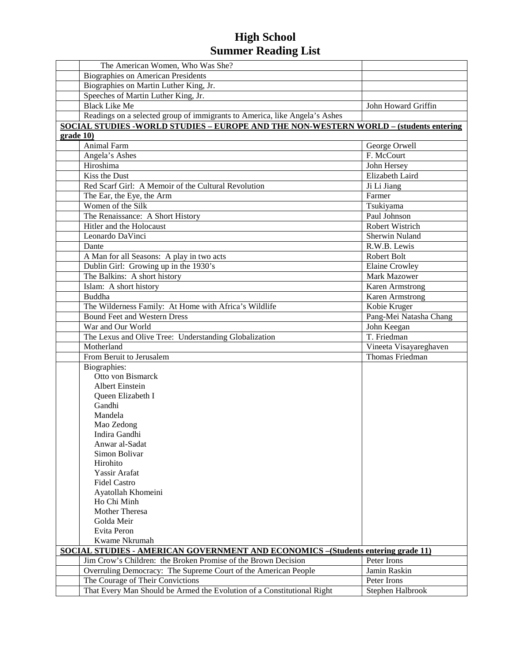|           | The American Women, Who Was She?                                                                          |                        |
|-----------|-----------------------------------------------------------------------------------------------------------|------------------------|
|           | <b>Biographies on American Presidents</b>                                                                 |                        |
|           | Biographies on Martin Luther King, Jr.                                                                    |                        |
|           | Speeches of Martin Luther King, Jr.                                                                       |                        |
|           | <b>Black Like Me</b>                                                                                      | John Howard Griffin    |
|           | Readings on a selected group of immigrants to America, like Angela's Ashes                                |                        |
|           | SOCIAL STUDIES - WORLD STUDIES – EUROPE AND THE NON-WESTERN WORLD – (students entering                    |                        |
| grade 10) |                                                                                                           |                        |
|           | <b>Animal Farm</b>                                                                                        | George Orwell          |
|           | Angela's Ashes                                                                                            | F. McCourt             |
|           | Hiroshima                                                                                                 | John Hersey            |
|           | Kiss the Dust                                                                                             | Elizabeth Laird        |
|           | Red Scarf Girl: A Memoir of the Cultural Revolution                                                       | Ji Li Jiang            |
|           | The Ear, the Eye, the Arm                                                                                 | Farmer                 |
|           | Women of the Silk                                                                                         | Tsukiyama              |
|           | The Renaissance: A Short History                                                                          | Paul Johnson           |
|           | Hitler and the Holocaust                                                                                  | Robert Wistrich        |
|           | Leonardo DaVinci                                                                                          | Sherwin Nuland         |
|           | Dante                                                                                                     | R.W.B. Lewis           |
|           |                                                                                                           | Robert Bolt            |
|           | A Man for all Seasons: A play in two acts                                                                 |                        |
|           | Dublin Girl: Growing up in the 1930's                                                                     | <b>Elaine Crowley</b>  |
|           | The Balkins: A short history                                                                              | Mark Mazower           |
|           | Islam: A short history                                                                                    | <b>Karen Armstrong</b> |
|           | <b>Buddha</b>                                                                                             | Karen Armstrong        |
|           | The Wilderness Family: At Home with Africa's Wildlife                                                     | Kobie Kruger           |
|           | <b>Bound Feet and Western Dress</b>                                                                       | Pang-Mei Natasha Chang |
|           | War and Our World                                                                                         | John Keegan            |
|           | The Lexus and Olive Tree: Understanding Globalization                                                     | T. Friedman            |
|           | Motherland                                                                                                | Vineeta Visayareghaven |
|           | From Beruit to Jerusalem                                                                                  | Thomas Friedman        |
|           | Biographies:                                                                                              |                        |
|           | Otto von Bismarck                                                                                         |                        |
|           | <b>Albert Einstein</b>                                                                                    |                        |
|           | Queen Elizabeth I                                                                                         |                        |
|           | Gandhi                                                                                                    |                        |
|           | Mandela                                                                                                   |                        |
|           | Mao Zedong                                                                                                |                        |
|           | Indira Gandhi                                                                                             |                        |
|           | Anwar al-Sadat                                                                                            |                        |
|           | Simon Bolivar                                                                                             |                        |
|           | Hirohito                                                                                                  |                        |
|           | Yassir Arafat                                                                                             |                        |
|           | <b>Fidel Castro</b>                                                                                       |                        |
|           | Ayatollah Khomeini                                                                                        |                        |
|           | Ho Chi Minh<br>Mother Theresa                                                                             |                        |
|           |                                                                                                           |                        |
|           | Golda Meir<br>Evita Peron                                                                                 |                        |
|           |                                                                                                           |                        |
|           | Kwame Nkrumah<br><b>SOCIAL STUDIES - AMERICAN GOVERNMENT AND ECONOMICS - (Students entering grade 11)</b> |                        |
|           |                                                                                                           |                        |
|           | Jim Crow's Children: the Broken Promise of the Brown Decision                                             | Peter Irons            |
|           | Overruling Democracy: The Supreme Court of the American People                                            | Jamin Raskin           |
|           | The Courage of Their Convictions                                                                          | Peter Irons            |
|           | That Every Man Should be Armed the Evolution of a Constitutional Right                                    | Stephen Halbrook       |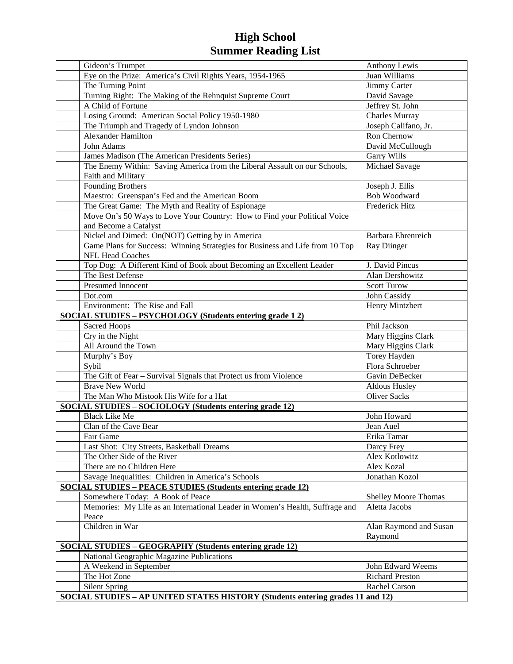| Gideon's Trumpet                                                                      | Anthony Lewis               |
|---------------------------------------------------------------------------------------|-----------------------------|
| Eye on the Prize: America's Civil Rights Years, 1954-1965                             | Juan Williams               |
| The Turning Point                                                                     | Jimmy Carter                |
| Turning Right: The Making of the Rehnquist Supreme Court                              | David Savage                |
| A Child of Fortune                                                                    | Jeffrey St. John            |
| Losing Ground: American Social Policy 1950-1980                                       | <b>Charles Murray</b>       |
| The Triumph and Tragedy of Lyndon Johnson                                             | Joseph Califano, Jr.        |
| Alexander Hamilton                                                                    | Ron Chernow                 |
| John Adams                                                                            | David McCullough            |
| James Madison (The American Presidents Series)                                        | Garry Wills                 |
| The Enemy Within: Saving America from the Liberal Assault on our Schools,             | <b>Michael Savage</b>       |
| Faith and Military                                                                    |                             |
| <b>Founding Brothers</b>                                                              | Joseph J. Ellis             |
| Maestro: Greenspan's Fed and the American Boom                                        | <b>Bob Woodward</b>         |
| The Great Game: The Myth and Reality of Espionage                                     | <b>Frederick Hitz</b>       |
| Move On's 50 Ways to Love Your Country: How to Find your Political Voice              |                             |
| and Become a Catalyst                                                                 |                             |
| Nickel and Dimed: On(NOT) Getting by in America                                       | Barbara Ehrenreich          |
| Game Plans for Success: Winning Strategies for Business and Life from 10 Top          | Ray Diinger                 |
| <b>NFL Head Coaches</b>                                                               |                             |
| Top Dog: A Different Kind of Book about Becoming an Excellent Leader                  | J. David Pincus             |
| The Best Defense                                                                      | Alan Dershowitz             |
| Presumed Innocent                                                                     | <b>Scott Turow</b>          |
| Dot.com                                                                               | John Cassidy                |
| Environment: The Rise and Fall                                                        | Henry Mintzbert             |
| <b>SOCIAL STUDIES - PSYCHOLOGY (Students entering grade 12)</b>                       |                             |
| Sacred Hoops                                                                          | Phil Jackson                |
| Cry in the Night                                                                      | Mary Higgins Clark          |
| All Around the Town                                                                   | Mary Higgins Clark          |
| Murphy's Boy                                                                          | Torey Hayden                |
| Sybil                                                                                 | Flora Schroeber             |
| The Gift of Fear - Survival Signals that Protect us from Violence                     | Gavin DeBecker              |
| <b>Brave New World</b>                                                                | Aldous Husley               |
| The Man Who Mistook His Wife for a Hat                                                | <b>Oliver Sacks</b>         |
| <b>SOCIAL STUDIES - SOCIOLOGY (Students entering grade 12)</b>                        |                             |
| <b>Black Like Me</b>                                                                  | John Howard                 |
| Clan of the Cave Bear                                                                 | Jean Auel                   |
| Fair Game                                                                             | Erika Tamar                 |
| Last Shot: City Streets, Basketball Dreams                                            | Darcy Frey                  |
| The Other Side of the River                                                           | Alex Kotlowitz              |
| There are no Children Here                                                            | Alex Kozal                  |
| Savage Inequalities: Children in America's Schools                                    | Jonathan Kozol              |
| <b>SOCIAL STUDIES – PEACE STUDIES (Students entering grade 12)</b>                    |                             |
| Somewhere Today: A Book of Peace                                                      | <b>Shelley Moore Thomas</b> |
| Memories: My Life as an International Leader in Women's Health, Suffrage and          | Aletta Jacobs               |
| Peace                                                                                 |                             |
| Children in War                                                                       | Alan Raymond and Susan      |
|                                                                                       | Raymond                     |
| <b>SOCIAL STUDIES - GEOGRAPHY (Students entering grade 12)</b>                        |                             |
| National Geographic Magazine Publications                                             |                             |
| A Weekend in September                                                                | John Edward Weems           |
| The Hot Zone                                                                          | <b>Richard Preston</b>      |
| <b>Silent Spring</b>                                                                  | Rachel Carson               |
| <b>SOCIAL STUDIES - AP UNITED STATES HISTORY (Students entering grades 11 and 12)</b> |                             |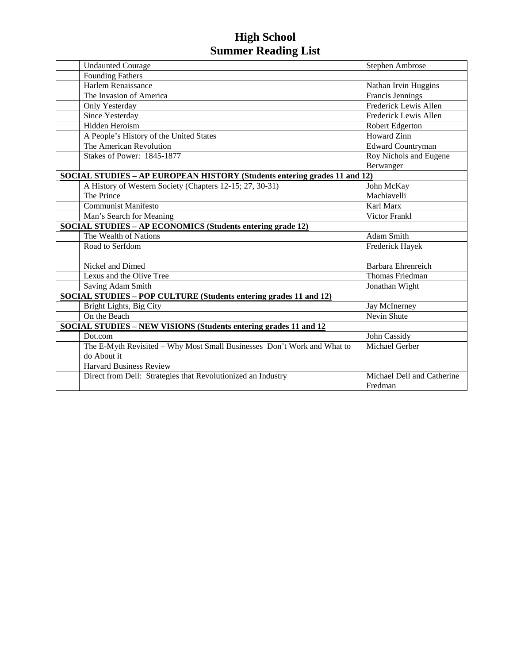| <b>Undaunted Courage</b>                                                  | Stephen Ambrose              |
|---------------------------------------------------------------------------|------------------------------|
| <b>Founding Fathers</b>                                                   |                              |
| Harlem Renaissance                                                        | Nathan Irvin Huggins         |
| The Invasion of America                                                   | Francis Jennings             |
| Only Yesterday                                                            | Frederick Lewis Allen        |
| <b>Since Yesterday</b>                                                    | <b>Frederick Lewis Allen</b> |
| Hidden Heroism                                                            | Robert Edgerton              |
| A People's History of the United States                                   | <b>Howard Zinn</b>           |
| The American Revolution                                                   | Edward Countryman            |
| Stakes of Power: 1845-1877                                                | Roy Nichols and Eugene       |
|                                                                           | Berwanger                    |
| SOCIAL STUDIES – AP EUROPEAN HISTORY (Students entering grades 11 and 12) |                              |
| A History of Western Society (Chapters 12-15; 27, 30-31)                  | John McKay                   |
| The Prince                                                                | Machiavelli                  |
| <b>Communist Manifesto</b>                                                | Karl Marx                    |
| Man's Search for Meaning                                                  | <b>Victor Frankl</b>         |
| <b>SOCIAL STUDIES – AP ECONOMICS (Students entering grade 12)</b>         |                              |
| The Wealth of Nations                                                     | Adam Smith                   |
| Road to Serfdom                                                           | Frederick Hayek              |
| Nickel and Dimed                                                          | <b>Barbara Ehrenreich</b>    |
| Lexus and the Olive Tree                                                  | Thomas Friedman              |
| Saving Adam Smith                                                         | Jonathan Wight               |
| SOCIAL STUDIES - POP CULTURE (Students entering grades 11 and 12)         |                              |
| Bright Lights, Big City                                                   | Jay McInerney                |
| On the Beach                                                              | Nevin Shute                  |
| <b>SOCIAL STUDIES - NEW VISIONS (Students entering grades 11 and 12</b>   |                              |
| Dot.com                                                                   | John Cassidy                 |
| The E-Myth Revisited - Why Most Small Businesses Don't Work and What to   | Michael Gerber               |
| do About it                                                               |                              |
| <b>Harvard Business Review</b>                                            |                              |
| Direct from Dell: Strategies that Revolutionized an Industry              | Michael Dell and Catherine   |
|                                                                           | Fredman                      |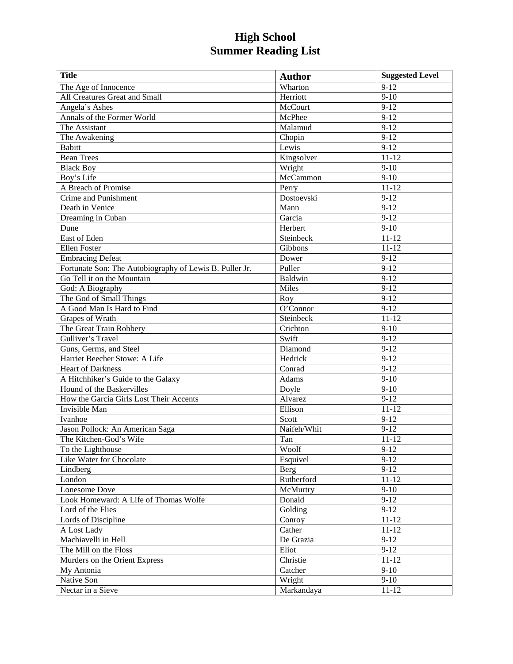| <b>Title</b>                                            | <b>Author</b>     | <b>Suggested Level</b> |
|---------------------------------------------------------|-------------------|------------------------|
| The Age of Innocence                                    | Wharton           | $9 - 12$               |
| All Creatures Great and Small                           | Herriott          | $\frac{1}{9-10}$       |
| Angela's Ashes                                          | McCourt           | $9-12$                 |
| Annals of the Former World                              | McPhee            | $9 - 12$               |
| The Assistant                                           | Malamud           | $9-12$                 |
| The Awakening                                           | Chopin            | $9 - 12$               |
| <b>Babitt</b>                                           | Lewis             | $9 - 12$               |
| <b>Bean Trees</b>                                       | Kingsolver        | $11 - 12$              |
| <b>Black Boy</b>                                        | Wright            | $9 - 10$               |
| Boy's Life                                              | McCammon          | $9 - 10$               |
| A Breach of Promise                                     | Perry             | $11 - 12$              |
| Crime and Punishment                                    | Dostoevski        | $9 - 12$               |
| Death in Venice                                         | Mann              | $9 - 12$               |
| Dreaming in Cuban                                       | Garcia            | $9-12$                 |
| Dune                                                    | Herbert           | $9-10$                 |
| East of Eden                                            | Steinbeck         | $11 - 12$              |
| Ellen Foster                                            | Gibbons           | $11 - 12$              |
| <b>Embracing Defeat</b>                                 | Dower             | $9-12$                 |
| Fortunate Son: The Autobiography of Lewis B. Puller Jr. | Puller            | $9-12$                 |
| Go Tell it on the Mountain                              | <b>Baldwin</b>    | $9 - 12$               |
| God: A Biography                                        | Miles             | $9 - 12$               |
| The God of Small Things                                 | $\overline{R}$ oy | $9-12$                 |
| A Good Man Is Hard to Find                              | O'Connor          | $9 - 12$               |
| Grapes of Wrath                                         | Steinbeck         | $11 - 12$              |
| The Great Train Robbery                                 | Crichton          | $9 - 10$               |
| Gulliver's Travel                                       | Swift             | $9-12$                 |
| Guns, Germs, and Steel                                  | Diamond           | $9 - 12$               |
| Harriet Beecher Stowe: A Life                           | Hedrick           | $9 - 12$               |
| <b>Heart of Darkness</b>                                | Conrad            | $9-12$                 |
| A Hitchhiker's Guide to the Galaxy                      | Adams             | $9 - 10$               |
| Hound of the Baskervilles                               | Doyle             | $\overline{9} - 10$    |
| How the Garcia Girls Lost Their Accents                 | Alvarez           | $9 - 12$               |
| Invisible Man                                           | Ellison           | $11 - 12$              |
| Ivanhoe                                                 | Scott             | $9 - 12$               |
| Jason Pollock: An American Saga                         | Naifeh/Whit       | $9-12$                 |
| The Kitchen-God's Wife                                  | Tan               | $11 - 12$              |
| To the Lighthouse                                       | Woolf             | $9 - 12$               |
| Like Water for Chocolate                                | Esquivel          | $9-12$                 |
| Lindberg                                                | Berg              | $9-12$                 |
| London                                                  | Rutherford        | $11 - 12$              |
| Lonesome Dove                                           | McMurtry          | $9-10$                 |
| Look Homeward: A Life of Thomas Wolfe                   | Donald            | $9-12$                 |
| Lord of the Flies                                       | Golding           | $9-12$                 |
| Lords of Discipline                                     | Conroy            | $11 - 12$              |
| A Lost Lady                                             | Cather            | $11 - 12$              |
| Machiavelli in Hell                                     | De Grazia         | $9-12$                 |
| The Mill on the Floss                                   | Eliot             | $9-12$                 |
| Murders on the Orient Express                           | Christie          | $11 - 12$              |
| My Antonia                                              | Catcher           | $9-10$                 |
| Native Son                                              | Wright            | $9-10$                 |
| Nectar in a Sieve                                       | Markandaya        | $11 - 12$              |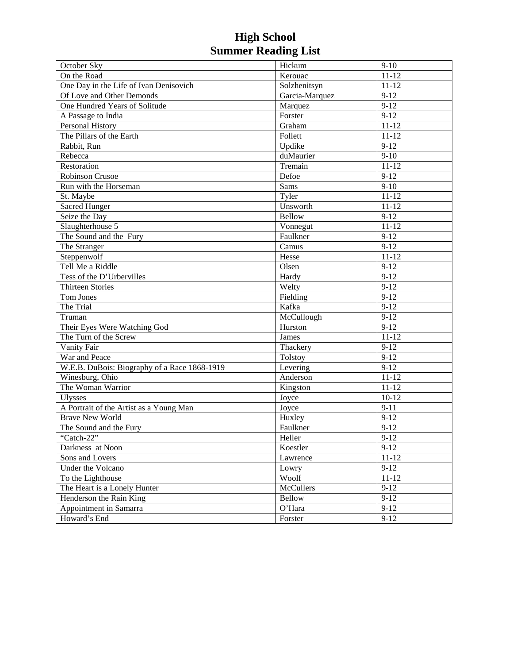| October Sky                                  | Hickum         | $9-10$    |
|----------------------------------------------|----------------|-----------|
| On the Road                                  | Kerouac        | $11 - 12$ |
| One Day in the Life of Ivan Denisovich       | Solzhenitsyn   | $11 - 12$ |
| Of Love and Other Demonds                    | Garcia-Marquez | $9 - 12$  |
| One Hundred Years of Solitude                | Marquez        | $9 - 12$  |
| A Passage to India                           | Forster        | $9 - 12$  |
| Personal History                             | Graham         | $11 - 12$ |
| The Pillars of the Earth                     | Follett        | $11 - 12$ |
| Rabbit, Run                                  | Updike         | $9-12$    |
| Rebecca                                      | duMaurier      | $9-10$    |
| Restoration                                  | Tremain        | $11 - 12$ |
| <b>Robinson Crusoe</b>                       | Defoe          | $9 - 12$  |
| Run with the Horseman                        | Sams           | $9-10$    |
| St. Maybe                                    | Tyler          | $11 - 12$ |
| <b>Sacred Hunger</b>                         | Unsworth       | $11 - 12$ |
| Seize the Day                                | <b>Bellow</b>  | $9-12$    |
| Slaughterhouse 5                             | Vonnegut       | $11 - 12$ |
| The Sound and the Fury                       | Faulkner       | $9-12$    |
| The Stranger                                 | Camus          | $9 - 12$  |
| Steppenwolf                                  | Hesse          | $11 - 12$ |
| Tell Me a Riddle                             | Olsen          | $9 - 12$  |
| Tess of the D'Urbervilles                    | Hardy          | $9-12$    |
| <b>Thirteen Stories</b>                      | Welty          | $9 - 12$  |
| Tom Jones                                    | Fielding       | $9 - 12$  |
| The Trial                                    | Kafka          | $9 - 12$  |
| Truman                                       | McCullough     | $9 - 12$  |
| Their Eyes Were Watching God                 | Hurston        | $9 - 12$  |
| The Turn of the Screw                        | James          | $11 - 12$ |
| Vanity Fair                                  | Thackery       | $9 - 12$  |
| War and Peace                                | <b>Tolstoy</b> | $9 - 12$  |
| W.E.B. DuBois: Biography of a Race 1868-1919 | Levering       | $9 - 12$  |
| Winesburg, Ohio                              | Anderson       | $11 - 12$ |
| The Woman Warrior                            | Kingston       | $11 - 12$ |
| <b>Ulysses</b>                               | Joyce          | $10 - 12$ |
| A Portrait of the Artist as a Young Man      | Joyce          | $9 - 11$  |
| <b>Brave New World</b>                       | Huxley         | $9 - 12$  |
| The Sound and the Fury                       | Faulkner       | $9 - 12$  |
| "Catch-22"                                   | Heller         | $9-12$    |
| Darkness at Noon                             | Koestler       | $9-12$    |
| Sons and Lovers                              | Lawrence       | $11 - 12$ |
| Under the Volcano                            | Lowry          | $9-12$    |
| To the Lighthouse                            | Woolf          | $11 - 12$ |
| The Heart is a Lonely Hunter                 | McCullers      | $9-12$    |
| Henderson the Rain King                      | <b>Bellow</b>  | $9-12$    |
| Appointment in Samarra                       | O'Hara         | $9 - 12$  |
| Howard's End                                 | Forster        | $9-12$    |